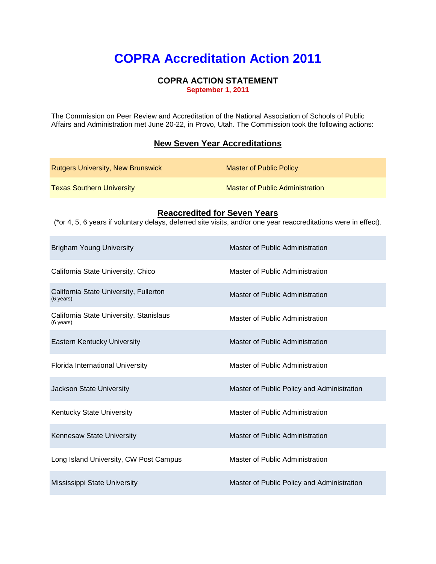# **COPRA Accreditation Action 2011**

#### **COPRA ACTION STATEMENT September 1, 2011**

The Commission on Peer Review and Accreditation of the National Association of Schools of Public Affairs and Administration met June 20-22, in Provo, Utah. The Commission took the following actions:

### **New Seven Year Accreditations**

| <b>Rutgers University, New Brunswick</b> | Master of Public Policy                |
|------------------------------------------|----------------------------------------|
| <b>Texas Southern University</b>         | <b>Master of Public Administration</b> |

#### **Reaccredited for Seven Years**

(\*or 4, 5, 6 years if voluntary delays, deferred site visits, and/or one year reaccreditations were in effect).

| <b>Brigham Young University</b>                               | Master of Public Administration            |
|---------------------------------------------------------------|--------------------------------------------|
| California State University, Chico                            | Master of Public Administration            |
| California State University, Fullerton<br>$(6 \text{ years})$ | Master of Public Administration            |
| California State University, Stanislaus<br>(6 years)          | Master of Public Administration            |
| Eastern Kentucky University                                   | Master of Public Administration            |
| Florida International University                              | Master of Public Administration            |
| Jackson State University                                      | Master of Public Policy and Administration |
| Kentucky State University                                     | Master of Public Administration            |
| Kennesaw State University                                     | Master of Public Administration            |
| Long Island University, CW Post Campus                        | Master of Public Administration            |
| Mississippi State University                                  | Master of Public Policy and Administration |